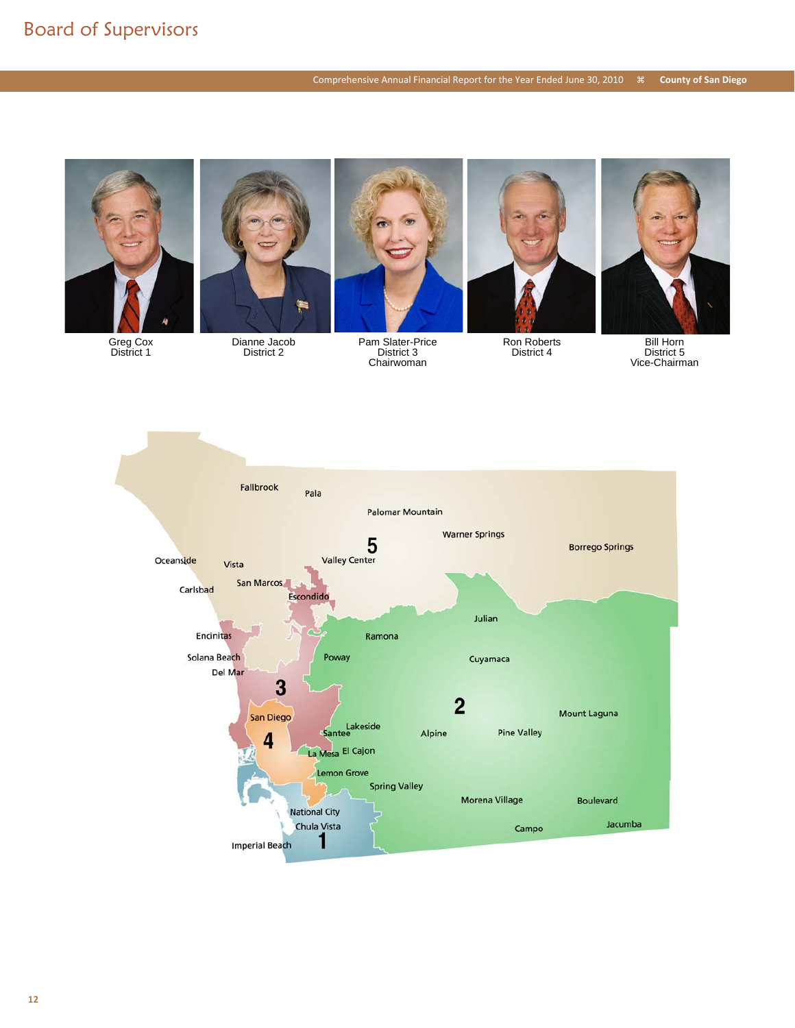

Greg Cox District 1



District 2



Pam Slater-Price District 3 Chairwoman



Ron Roberts District 4



Bill Horn District 5 Vice-Chairman